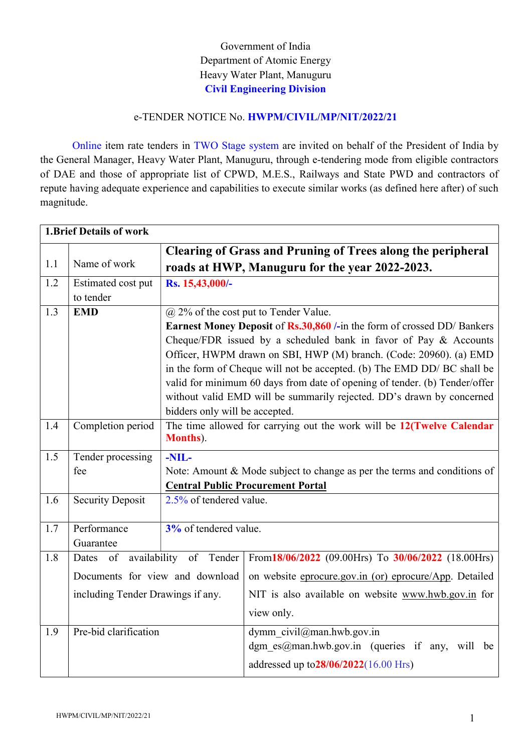# Government of India Department of Atomic Energy Heavy Water Plant, Manuguru Civil Engineering Division

### e-TENDER NOTICE No. HWPM/CIVIL/MP/NIT/2022/21

Online item rate tenders in TWO Stage system are invited on behalf of the President of India by the General Manager, Heavy Water Plant, Manuguru, through e-tendering mode from eligible contractors of DAE and those of appropriate list of CPWD, M.E.S., Railways and State PWD and contractors of repute having adequate experience and capabilities to execute similar works (as defined here after) of such magnitude.

| <b>1.Brief Details of work</b> |                                   |                                                                         |                                                                            |  |
|--------------------------------|-----------------------------------|-------------------------------------------------------------------------|----------------------------------------------------------------------------|--|
|                                |                                   | <b>Clearing of Grass and Pruning of Trees along the peripheral</b>      |                                                                            |  |
| 1.1                            | Name of work                      |                                                                         | roads at HWP, Manuguru for the year 2022-2023.                             |  |
| 1.2                            | Estimated cost put<br>to tender   | Rs. 15,43,000/-                                                         |                                                                            |  |
| 1.3                            | <b>EMD</b>                        | $\omega$ 2% of the cost put to Tender Value.                            |                                                                            |  |
|                                |                                   | Earnest Money Deposit of Rs.30,860 /-in the form of crossed DD/ Bankers |                                                                            |  |
|                                |                                   | Cheque/FDR issued by a scheduled bank in favor of Pay & Accounts        |                                                                            |  |
|                                |                                   |                                                                         | Officer, HWPM drawn on SBI, HWP (M) branch. (Code: 20960). (a) EMD         |  |
|                                |                                   |                                                                         | in the form of Cheque will not be accepted. (b) The EMD DD/ BC shall be    |  |
|                                |                                   |                                                                         | valid for minimum 60 days from date of opening of tender. (b) Tender/offer |  |
|                                |                                   |                                                                         | without valid EMD will be summarily rejected. DD's drawn by concerned      |  |
|                                |                                   | bidders only will be accepted.                                          |                                                                            |  |
| 1.4                            | Completion period                 | <b>Months</b> ).                                                        | The time allowed for carrying out the work will be 12(Twelve Calendar      |  |
| 1.5                            | -NIL-<br>Tender processing        |                                                                         |                                                                            |  |
|                                | fee                               |                                                                         | Note: Amount & Mode subject to change as per the terms and conditions of   |  |
|                                |                                   |                                                                         | <b>Central Public Procurement Portal</b>                                   |  |
| 1.6                            | <b>Security Deposit</b>           | 2.5% of tendered value.                                                 |                                                                            |  |
| 1.7                            | Performance<br>Guarantee          | $3%$ of tendered value.                                                 |                                                                            |  |
| 1.8                            | of<br>Dates                       | availability of Tender                                                  | From 18/06/2022 (09.00Hrs) To 30/06/2022 (18.00Hrs)                        |  |
|                                |                                   | Documents for view and download                                         | on website eprocure.gov.in (or) eprocure/App. Detailed                     |  |
|                                | including Tender Drawings if any. |                                                                         | NIT is also available on website www.hwb.gov.in for                        |  |
|                                |                                   |                                                                         | view only.                                                                 |  |
| 1.9                            | Pre-bid clarification             |                                                                         | dymm civil@man.hwb.gov.in                                                  |  |
|                                |                                   |                                                                         | dgm es@man.hwb.gov.in (queries if any, will be                             |  |
|                                |                                   |                                                                         | addressed up to 28/06/2022(16.00 Hrs)                                      |  |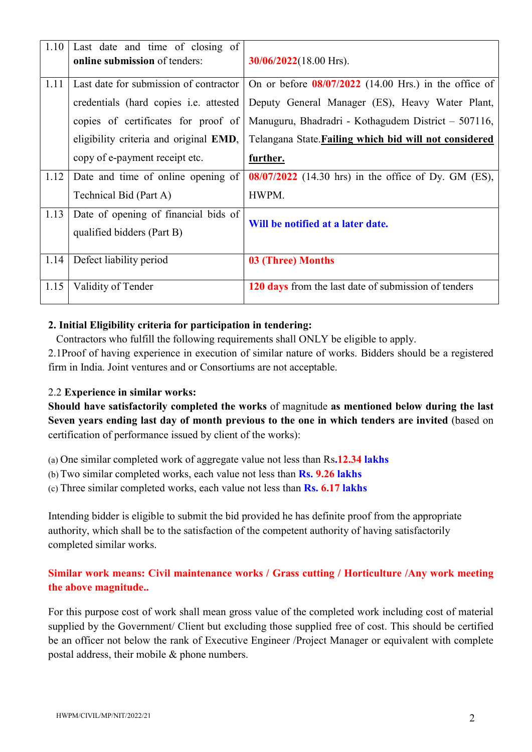| 1.10 | Last date and time of closing of<br>online submission of tenders:  | $30/06/2022(18.00$ Hrs).                                |
|------|--------------------------------------------------------------------|---------------------------------------------------------|
| 1.11 | Last date for submission of contractor                             | On or before $08/07/2022$ (14.00 Hrs.) in the office of |
|      | credentials (hard copies i.e. attested                             | Deputy General Manager (ES), Heavy Water Plant,         |
|      | copies of certificates for proof of                                | Manuguru, Bhadradri - Kothagudem District – 507116,     |
|      | eligibility criteria and original EMD,                             | Telangana State. Failing which bid will not considered  |
|      | copy of e-payment receipt etc.                                     | further.                                                |
| 1.12 | Date and time of online opening of                                 | 08/07/2022 (14.30 hrs) in the office of Dy. GM (ES),    |
|      | Technical Bid (Part A)                                             | HWPM.                                                   |
| 1.13 | Date of opening of financial bids of<br>qualified bidders (Part B) | Will be notified at a later date.                       |
| 1.14 | Defect liability period                                            | 03 (Three) Months                                       |
| 1.15 | Validity of Tender                                                 | 120 days from the last date of submission of tenders    |

## 2. Initial Eligibility criteria for participation in tendering:

Contractors who fulfill the following requirements shall ONLY be eligible to apply.

2.1Proof of having experience in execution of similar nature of works. Bidders should be a registered firm in India. Joint ventures and or Consortiums are not acceptable.

#### 2.2 Experience in similar works:

Should have satisfactorily completed the works of magnitude as mentioned below during the last Seven years ending last day of month previous to the one in which tenders are invited (based on certification of performance issued by client of the works):

(a) One similar completed work of aggregate value not less than Rs.12.34 lakhs

(b) Two similar completed works, each value not less than  $\text{Rs. } 9.26$  lakhs

(c) Three similar completed works, each value not less than Rs. 6.17 lakhs

Intending bidder is eligible to submit the bid provided he has definite proof from the appropriate authority, which shall be to the satisfaction of the competent authority of having satisfactorily completed similar works.

## Similar work means: Civil maintenance works / Grass cutting / Horticulture /Any work meeting the above magnitude..

For this purpose cost of work shall mean gross value of the completed work including cost of material supplied by the Government/ Client but excluding those supplied free of cost. This should be certified be an officer not below the rank of Executive Engineer /Project Manager or equivalent with complete postal address, their mobile & phone numbers.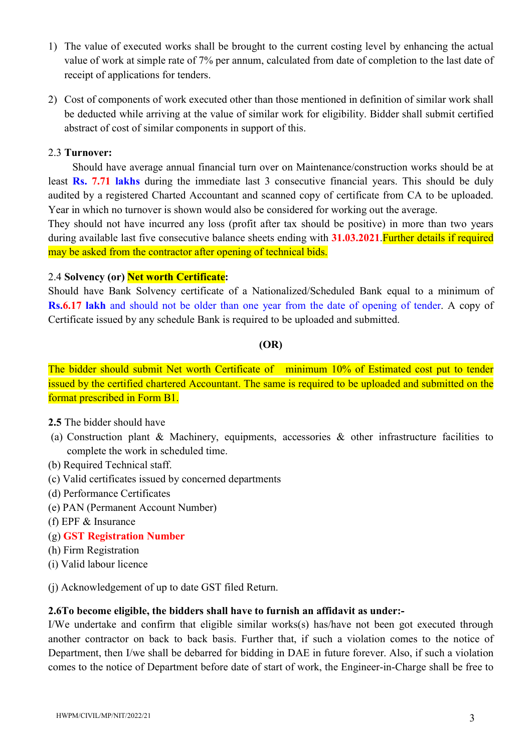- 1) The value of executed works shall be brought to the current costing level by enhancing the actual value of work at simple rate of 7% per annum, calculated from date of completion to the last date of receipt of applications for tenders.
- 2) Cost of components of work executed other than those mentioned in definition of similar work shall be deducted while arriving at the value of similar work for eligibility. Bidder shall submit certified abstract of cost of similar components in support of this.

### 2.3 Turnover:

Should have average annual financial turn over on Maintenance/construction works should be at least **Rs. 7.71 lakhs** during the immediate last 3 consecutive financial years. This should be duly audited by a registered Charted Accountant and scanned copy of certificate from CA to be uploaded. Year in which no turnover is shown would also be considered for working out the average.

They should not have incurred any loss (profit after tax should be positive) in more than two years during available last five consecutive balance sheets ending with 31.03.2021 Further details if required may be asked from the contractor after opening of technical bids.

### 2.4 Solvency (or) Net worth Certificate:

Should have Bank Solvency certificate of a Nationalized/Scheduled Bank equal to a minimum of Rs.6.17 lakh and should not be older than one year from the date of opening of tender. A copy of Certificate issued by any schedule Bank is required to be uploaded and submitted.

## (OR)

The bidder should submit Net worth Certificate of minimum 10% of Estimated cost put to tender issued by the certified chartered Accountant. The same is required to be uploaded and submitted on the format prescribed in Form B1.

#### 2.5 The bidder should have

- (a) Construction plant & Machinery, equipments, accessories & other infrastructure facilities to complete the work in scheduled time.
- (b) Required Technical staff.
- (c) Valid certificates issued by concerned departments
- (d) Performance Certificates
- (e) PAN (Permanent Account Number)
- (f) EPF & Insurance
- (g) GST Registration Number
- (h) Firm Registration
- (i) Valid labour licence

(j) Acknowledgement of up to date GST filed Return.

#### 2.6To become eligible, the bidders shall have to furnish an affidavit as under:-

I/We undertake and confirm that eligible similar works(s) has/have not been got executed through another contractor on back to back basis. Further that, if such a violation comes to the notice of Department, then I/we shall be debarred for bidding in DAE in future forever. Also, if such a violation comes to the notice of Department before date of start of work, the Engineer-in-Charge shall be free to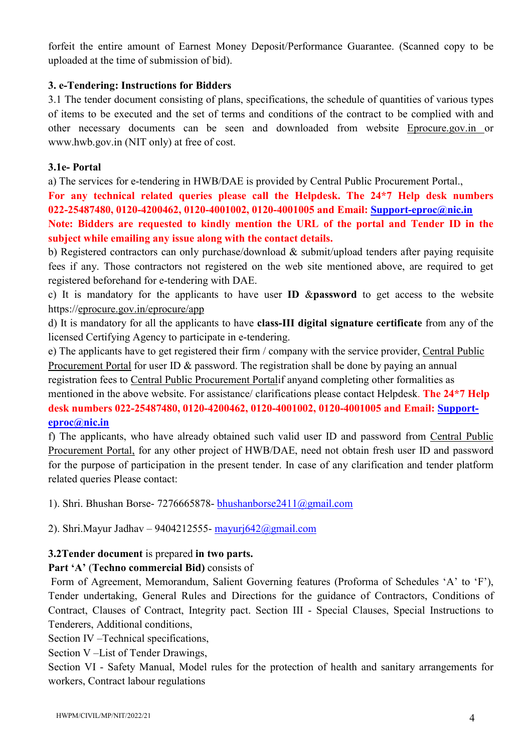forfeit the entire amount of Earnest Money Deposit/Performance Guarantee. (Scanned copy to be uploaded at the time of submission of bid).

## 3. e-Tendering: Instructions for Bidders

3.1 The tender document consisting of plans, specifications, the schedule of quantities of various types of items to be executed and the set of terms and conditions of the contract to be complied with and other necessary documents can be seen and downloaded from website Eprocure.gov.in or www.hwb.gov.in (NIT only) at free of cost.

### 3.1e- Portal

a) The services for e-tendering in HWB/DAE is provided by Central Public Procurement Portal.,

For any technical related queries please call the Helpdesk. The 24\*7 Help desk numbers 022-25487480, 0120-4200462, 0120-4001002, 0120-4001005 and Email: Support-eproc@nic.in Note: Bidders are requested to kindly mention the URL of the portal and Tender ID in the

subject while emailing any issue along with the contact details.

b) Registered contractors can only purchase/download & submit/upload tenders after paying requisite fees if any. Those contractors not registered on the web site mentioned above, are required to get registered beforehand for e-tendering with DAE.

c) It is mandatory for the applicants to have user ID &password to get access to the website https://eprocure.gov.in/eprocure/app

d) It is mandatory for all the applicants to have class-III digital signature certificate from any of the licensed Certifying Agency to participate in e-tendering.

e) The applicants have to get registered their firm / company with the service provider, Central Public Procurement Portal for user ID & password. The registration shall be done by paying an annual registration fees to Central Public Procurement Portalif anyand completing other formalities as mentioned in the above website. For assistance/ clarifications please contact Helpdesk. The 24\*7 Help desk numbers 022-25487480, 0120-4200462, 0120-4001002, 0120-4001005 and Email: Support-

## eproc@nic.in

f) The applicants, who have already obtained such valid user ID and password from Central Public Procurement Portal, for any other project of HWB/DAE, need not obtain fresh user ID and password for the purpose of participation in the present tender. In case of any clarification and tender platform related queries Please contact:

1). Shri. Bhushan Borse- 7276665878- bhushanborse2411@gmail.com

2). Shri.Mayur Jadhav – 9404212555- mayurj642@gmail.com

## 3.2Tender document is prepared in two parts.

## Part 'A' (Techno commercial Bid) consists of

 Form of Agreement, Memorandum, Salient Governing features (Proforma of Schedules 'A' to 'F'), Tender undertaking, General Rules and Directions for the guidance of Contractors, Conditions of Contract, Clauses of Contract, Integrity pact. Section III - Special Clauses, Special Instructions to Tenderers, Additional conditions,

Section IV –Technical specifications,

Section V –List of Tender Drawings,

Section VI - Safety Manual, Model rules for the protection of health and sanitary arrangements for workers, Contract labour regulations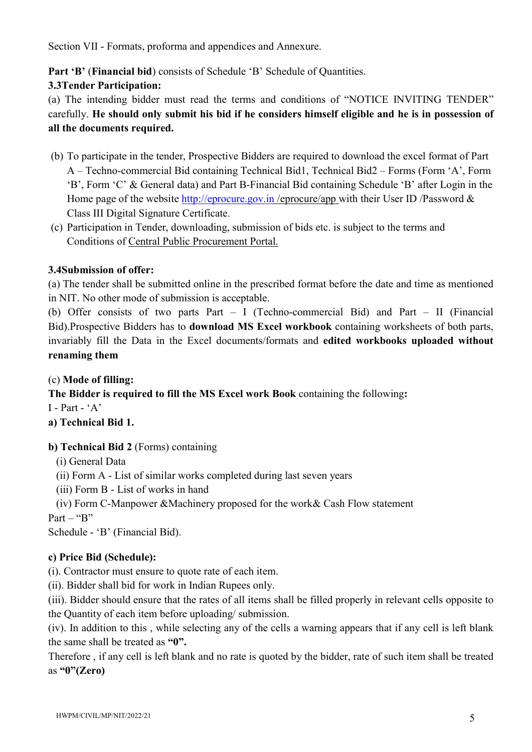Section VII - Formats, proforma and appendices and Annexure.

Part 'B' (Financial bid) consists of Schedule 'B' Schedule of Quantities.

## 3.3Tender Participation:

(a) The intending bidder must read the terms and conditions of "NOTICE INVITING TENDER" carefully. He should only submit his bid if he considers himself eligible and he is in possession of all the documents required.

- (b) To participate in the tender, Prospective Bidders are required to download the excel format of Part A – Techno-commercial Bid containing Technical Bid1, Technical Bid2 – Forms (Form 'A', Form 'B', Form 'C' & General data) and Part B-Financial Bid containing Schedule 'B' after Login in the Home page of the website http://eprocure.gov.in/eprocure/app with their User ID/Password & Class III Digital Signature Certificate.
- (c) Participation in Tender, downloading, submission of bids etc. is subject to the terms and Conditions of Central Public Procurement Portal.

## 3.4Submission of offer:

(a) The tender shall be submitted online in the prescribed format before the date and time as mentioned in NIT. No other mode of submission is acceptable.

(b) Offer consists of two parts Part – I (Techno-commercial Bid) and Part – II (Financial Bid).Prospective Bidders has to download MS Excel workbook containing worksheets of both parts, invariably fill the Data in the Excel documents/formats and edited workbooks uploaded without renaming them

(c) Mode of filling:

The Bidder is required to fill the MS Excel work Book containing the following:

 $I - Part - 'A'$ 

a) Technical Bid 1.

## b) Technical Bid 2 (Forms) containing

- (i) General Data
- (ii) Form A List of similar works completed during last seven years
- (iii) Form B List of works in hand
- (iv) Form C-Manpower &Machinery proposed for the work& Cash Flow statement

Part – " $B$ "

Schedule - 'B' (Financial Bid).

## c) Price Bid (Schedule):

(i). Contractor must ensure to quote rate of each item.

(ii). Bidder shall bid for work in Indian Rupees only.

(iii). Bidder should ensure that the rates of all items shall be filled properly in relevant cells opposite to the Quantity of each item before uploading/ submission.

(iv). In addition to this , while selecting any of the cells a warning appears that if any cell is left blank the same shall be treated as "0".

Therefore , if any cell is left blank and no rate is quoted by the bidder, rate of such item shall be treated as " $0$ "(Zero)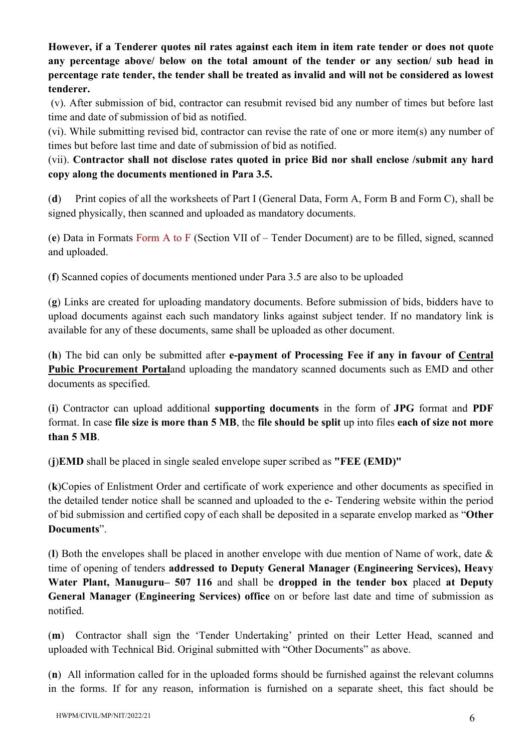However, if a Tenderer quotes nil rates against each item in item rate tender or does not quote any percentage above/ below on the total amount of the tender or any section/ sub head in percentage rate tender, the tender shall be treated as invalid and will not be considered as lowest tenderer.

 (v). After submission of bid, contractor can resubmit revised bid any number of times but before last time and date of submission of bid as notified.

(vi). While submitting revised bid, contractor can revise the rate of one or more item(s) any number of times but before last time and date of submission of bid as notified.

(vii). Contractor shall not disclose rates quoted in price Bid nor shall enclose /submit any hard copy along the documents mentioned in Para 3.5.

(d) Print copies of all the worksheets of Part I (General Data, Form A, Form B and Form C), shall be signed physically, then scanned and uploaded as mandatory documents.

(e) Data in Formats Form A to F (Section VII of – Tender Document) are to be filled, signed, scanned and uploaded.

(f) Scanned copies of documents mentioned under Para 3.5 are also to be uploaded

(g) Links are created for uploading mandatory documents. Before submission of bids, bidders have to upload documents against each such mandatory links against subject tender. If no mandatory link is available for any of these documents, same shall be uploaded as other document.

(h) The bid can only be submitted after e-payment of Processing Fee if any in favour of Central Pubic Procurement Portaland uploading the mandatory scanned documents such as EMD and other documents as specified.

(i) Contractor can upload additional supporting documents in the form of JPG format and PDF format. In case file size is more than 5 MB, the file should be split up into files each of size not more than 5 MB.

(j)EMD shall be placed in single sealed envelope super scribed as "FEE (EMD)"

(k)Copies of Enlistment Order and certificate of work experience and other documents as specified in the detailed tender notice shall be scanned and uploaded to the e- Tendering website within the period of bid submission and certified copy of each shall be deposited in a separate envelop marked as "Other Documents".

(l) Both the envelopes shall be placed in another envelope with due mention of Name of work, date & time of opening of tenders addressed to Deputy General Manager (Engineering Services), Heavy Water Plant, Manuguru– 507 116 and shall be dropped in the tender box placed at Deputy General Manager (Engineering Services) office on or before last date and time of submission as notified.

(m) Contractor shall sign the 'Tender Undertaking' printed on their Letter Head, scanned and uploaded with Technical Bid. Original submitted with "Other Documents" as above.

(n) All information called for in the uploaded forms should be furnished against the relevant columns in the forms. If for any reason, information is furnished on a separate sheet, this fact should be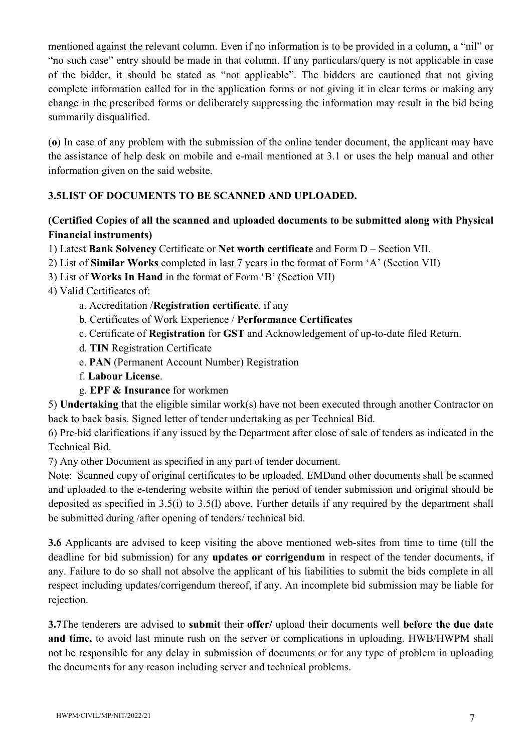mentioned against the relevant column. Even if no information is to be provided in a column, a "nil" or "no such case" entry should be made in that column. If any particulars/query is not applicable in case of the bidder, it should be stated as "not applicable". The bidders are cautioned that not giving complete information called for in the application forms or not giving it in clear terms or making any change in the prescribed forms or deliberately suppressing the information may result in the bid being summarily disqualified.

(o) In case of any problem with the submission of the online tender document, the applicant may have the assistance of help desk on mobile and e-mail mentioned at 3.1 or uses the help manual and other information given on the said website.

## 3.5LIST OF DOCUMENTS TO BE SCANNED AND UPLOADED.

## (Certified Copies of all the scanned and uploaded documents to be submitted along with Physical Financial instruments)

- 1) Latest Bank Solvency Certificate or Net worth certificate and Form D Section VII.
- 2) List of Similar Works completed in last 7 years in the format of Form 'A' (Section VII)
- 3) List of Works In Hand in the format of Form 'B' (Section VII)
- 4) Valid Certificates of:
	- a. Accreditation /Registration certificate, if any
	- b. Certificates of Work Experience / Performance Certificates
	- c. Certificate of Registration for GST and Acknowledgement of up-to-date filed Return.
	- d. TIN Registration Certificate
	- e. PAN (Permanent Account Number) Registration
	- f. Labour License.
	- g. EPF & Insurance for workmen

5) Undertaking that the eligible similar work(s) have not been executed through another Contractor on back to back basis. Signed letter of tender undertaking as per Technical Bid.

6) Pre-bid clarifications if any issued by the Department after close of sale of tenders as indicated in the Technical Bid.

7) Any other Document as specified in any part of tender document.

Note: Scanned copy of original certificates to be uploaded. EMDand other documents shall be scanned and uploaded to the e-tendering website within the period of tender submission and original should be deposited as specified in 3.5(i) to 3.5(l) above. Further details if any required by the department shall be submitted during /after opening of tenders/ technical bid.

3.6 Applicants are advised to keep visiting the above mentioned web-sites from time to time (till the deadline for bid submission) for any updates or corrigendum in respect of the tender documents, if any. Failure to do so shall not absolve the applicant of his liabilities to submit the bids complete in all respect including updates/corrigendum thereof, if any. An incomplete bid submission may be liable for rejection.

3.7The tenderers are advised to submit their offer/ upload their documents well before the due date and time, to avoid last minute rush on the server or complications in uploading. HWB/HWPM shall not be responsible for any delay in submission of documents or for any type of problem in uploading the documents for any reason including server and technical problems.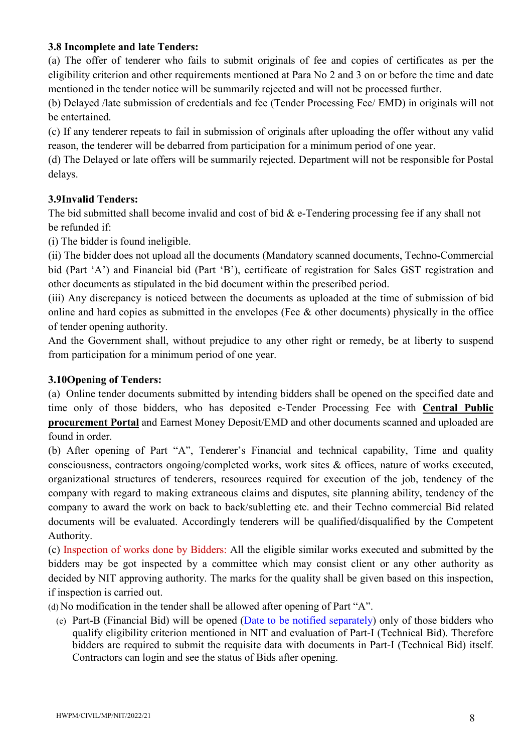### 3.8 Incomplete and late Tenders:

(a) The offer of tenderer who fails to submit originals of fee and copies of certificates as per the eligibility criterion and other requirements mentioned at Para No 2 and 3 on or before the time and date mentioned in the tender notice will be summarily rejected and will not be processed further.

(b) Delayed /late submission of credentials and fee (Tender Processing Fee/ EMD) in originals will not be entertained.

(c) If any tenderer repeats to fail in submission of originals after uploading the offer without any valid reason, the tenderer will be debarred from participation for a minimum period of one year.

(d) The Delayed or late offers will be summarily rejected. Department will not be responsible for Postal delays.

## 3.9Invalid Tenders:

The bid submitted shall become invalid and cost of bid  $\&$  e-Tendering processing fee if any shall not be refunded if:

(i) The bidder is found ineligible.

(ii) The bidder does not upload all the documents (Mandatory scanned documents, Techno-Commercial bid (Part 'A') and Financial bid (Part 'B'), certificate of registration for Sales GST registration and other documents as stipulated in the bid document within the prescribed period.

(iii) Any discrepancy is noticed between the documents as uploaded at the time of submission of bid online and hard copies as submitted in the envelopes (Fee & other documents) physically in the office of tender opening authority.

And the Government shall, without prejudice to any other right or remedy, be at liberty to suspend from participation for a minimum period of one year.

## 3.10Opening of Tenders:

(a) Online tender documents submitted by intending bidders shall be opened on the specified date and time only of those bidders, who has deposited e-Tender Processing Fee with Central Public procurement Portal and Earnest Money Deposit/EMD and other documents scanned and uploaded are found in order.

(b) After opening of Part "A", Tenderer's Financial and technical capability, Time and quality consciousness, contractors ongoing/completed works, work sites & offices, nature of works executed, organizational structures of tenderers, resources required for execution of the job, tendency of the company with regard to making extraneous claims and disputes, site planning ability, tendency of the company to award the work on back to back/subletting etc. and their Techno commercial Bid related documents will be evaluated. Accordingly tenderers will be qualified/disqualified by the Competent Authority.

(c) Inspection of works done by Bidders: All the eligible similar works executed and submitted by the bidders may be got inspected by a committee which may consist client or any other authority as decided by NIT approving authority. The marks for the quality shall be given based on this inspection, if inspection is carried out.

(d) No modification in the tender shall be allowed after opening of Part "A".

(e) Part-B (Financial Bid) will be opened (Date to be notified separately) only of those bidders who qualify eligibility criterion mentioned in NIT and evaluation of Part-I (Technical Bid). Therefore bidders are required to submit the requisite data with documents in Part-I (Technical Bid) itself. Contractors can login and see the status of Bids after opening.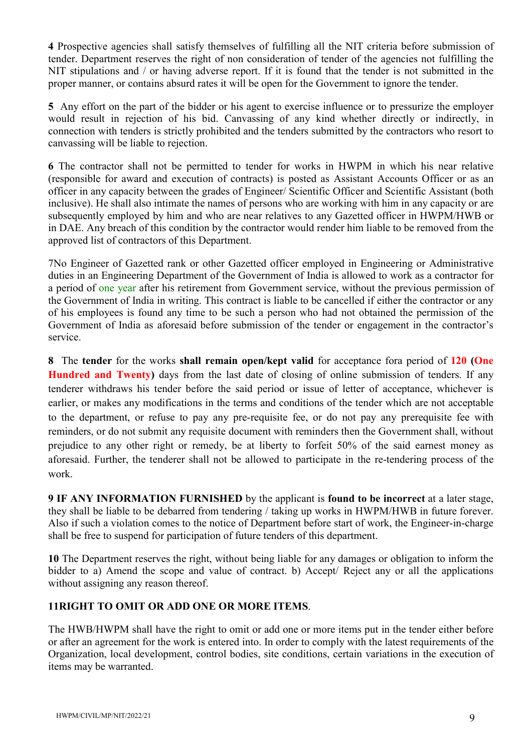4 Prospective agencies shall satisfy themselves of fulfilling all the NIT criteria before submission of tender. Department reserves the right of non consideration of tender of the agencies not fulfilling the NIT stipulations and / or having adverse report. If it is found that the tender is not submitted in the proper manner, or contains absurd rates it will be open for the Government to ignore the tender.

5 Any effort on the part of the bidder or his agent to exercise influence or to pressurize the employer would result in rejection of his bid. Canvassing of any kind whether directly or indirectly, in connection with tenders is strictly prohibited and the tenders submitted by the contractors who resort to canvassing will be liable to rejection.

6 The contractor shall not be permitted to tender for works in HWPM in which his near relative (responsible for award and execution of contracts) is posted as Assistant Accounts Officer or as an officer in any capacity between the grades of Engineer/ Scientific Officer and Scientific Assistant (both inclusive). He shall also intimate the names of persons who are working with him in any capacity or are subsequently employed by him and who are near relatives to any Gazetted officer in HWPM/HWB or in DAE. Any breach of this condition by the contractor would render him liable to be removed from the approved list of contractors of this Department.

7No Engineer of Gazetted rank or other Gazetted officer employed in Engineering or Administrative duties in an Engineering Department of the Government of India is allowed to work as a contractor for a period of one year after his retirement from Government service, without the previous permission of the Government of India in writing. This contract is liable to be cancelled if either the contractor or any of his employees is found any time to be such a person who had not obtained the permission of the Government of India as aforesaid before submission of the tender or engagement in the contractor's service.

8 The tender for the works shall remain open/kept valid for acceptance fora period of 120 (One Hundred and Twenty) days from the last date of closing of online submission of tenders. If any tenderer withdraws his tender before the said period or issue of letter of acceptance, whichever is earlier, or makes any modifications in the terms and conditions of the tender which are not acceptable to the department, or refuse to pay any pre-requisite fee, or do not pay any prerequisite fee with reminders, or do not submit any requisite document with reminders then the Government shall, without prejudice to any other right or remedy, be at liberty to forfeit 50% of the said earnest money as aforesaid. Further, the tenderer shall not be allowed to participate in the re-tendering process of the work.

9 IF ANY INFORMATION FURNISHED by the applicant is found to be incorrect at a later stage, they shall be liable to be debarred from tendering / taking up works in HWPM/HWB in future forever. Also if such a violation comes to the notice of Department before start of work, the Engineer-in-charge shall be free to suspend for participation of future tenders of this department.

10 The Department reserves the right, without being liable for any damages or obligation to inform the bidder to a) Amend the scope and value of contract. b) Accept/ Reject any or all the applications without assigning any reason thereof.

## 11RIGHT TO OMIT OR ADD ONE OR MORE ITEMS.

The HWB/HWPM shall have the right to omit or add one or more items put in the tender either before or after an agreement for the work is entered into. In order to comply with the latest requirements of the Organization, local development, control bodies, site conditions, certain variations in the execution of items may be warranted.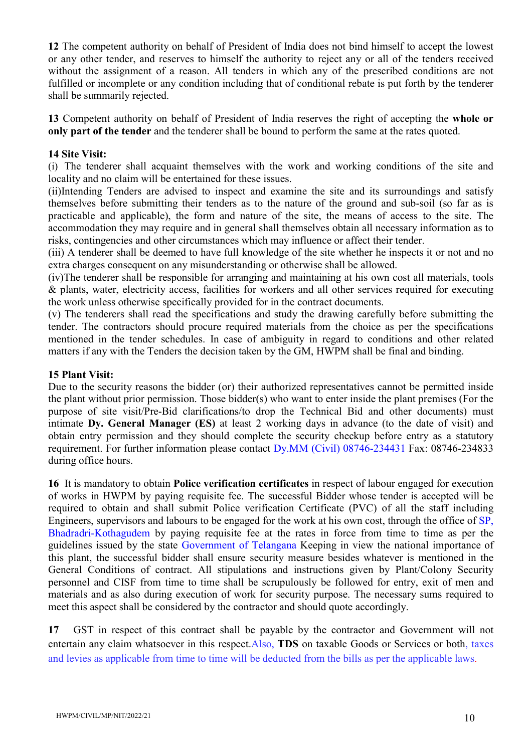12 The competent authority on behalf of President of India does not bind himself to accept the lowest or any other tender, and reserves to himself the authority to reject any or all of the tenders received without the assignment of a reason. All tenders in which any of the prescribed conditions are not fulfilled or incomplete or any condition including that of conditional rebate is put forth by the tenderer shall be summarily rejected.

13 Competent authority on behalf of President of India reserves the right of accepting the whole or only part of the tender and the tenderer shall be bound to perform the same at the rates quoted.

#### 14 Site Visit:

(i) The tenderer shall acquaint themselves with the work and working conditions of the site and locality and no claim will be entertained for these issues.

(ii)Intending Tenders are advised to inspect and examine the site and its surroundings and satisfy themselves before submitting their tenders as to the nature of the ground and sub-soil (so far as is practicable and applicable), the form and nature of the site, the means of access to the site. The accommodation they may require and in general shall themselves obtain all necessary information as to risks, contingencies and other circumstances which may influence or affect their tender.

(iii) A tenderer shall be deemed to have full knowledge of the site whether he inspects it or not and no extra charges consequent on any misunderstanding or otherwise shall be allowed.

(iv)The tenderer shall be responsible for arranging and maintaining at his own cost all materials, tools & plants, water, electricity access, facilities for workers and all other services required for executing the work unless otherwise specifically provided for in the contract documents.

(v) The tenderers shall read the specifications and study the drawing carefully before submitting the tender. The contractors should procure required materials from the choice as per the specifications mentioned in the tender schedules. In case of ambiguity in regard to conditions and other related matters if any with the Tenders the decision taken by the GM, HWPM shall be final and binding.

#### 15 Plant Visit:

Due to the security reasons the bidder (or) their authorized representatives cannot be permitted inside the plant without prior permission. Those bidder(s) who want to enter inside the plant premises (For the purpose of site visit/Pre-Bid clarifications/to drop the Technical Bid and other documents) must intimate Dy. General Manager (ES) at least 2 working days in advance (to the date of visit) and obtain entry permission and they should complete the security checkup before entry as a statutory requirement. For further information please contact Dy.MM (Civil) 08746-234431 Fax: 08746-234833 during office hours.

16 It is mandatory to obtain Police verification certificates in respect of labour engaged for execution of works in HWPM by paying requisite fee. The successful Bidder whose tender is accepted will be required to obtain and shall submit Police verification Certificate (PVC) of all the staff including Engineers, supervisors and labours to be engaged for the work at his own cost, through the office of SP, Bhadradri-Kothagudem by paying requisite fee at the rates in force from time to time as per the guidelines issued by the state Government of Telangana Keeping in view the national importance of this plant, the successful bidder shall ensure security measure besides whatever is mentioned in the General Conditions of contract. All stipulations and instructions given by Plant/Colony Security personnel and CISF from time to time shall be scrupulously be followed for entry, exit of men and materials and as also during execution of work for security purpose. The necessary sums required to meet this aspect shall be considered by the contractor and should quote accordingly.

17 GST in respect of this contract shall be payable by the contractor and Government will not entertain any claim whatsoever in this respect.Also, TDS on taxable Goods or Services or both, taxes and levies as applicable from time to time will be deducted from the bills as per the applicable laws.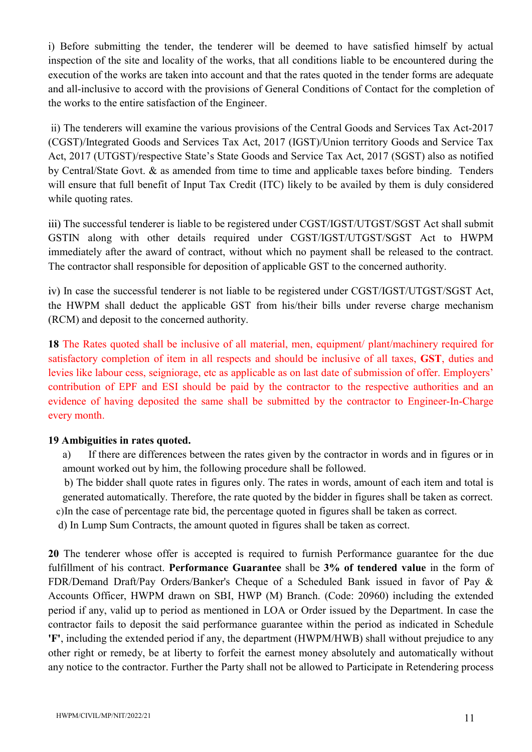i) Before submitting the tender, the tenderer will be deemed to have satisfied himself by actual inspection of the site and locality of the works, that all conditions liable to be encountered during the execution of the works are taken into account and that the rates quoted in the tender forms are adequate and all-inclusive to accord with the provisions of General Conditions of Contact for the completion of the works to the entire satisfaction of the Engineer.

 ii) The tenderers will examine the various provisions of the Central Goods and Services Tax Act-2017 (CGST)/Integrated Goods and Services Tax Act, 2017 (IGST)/Union territory Goods and Service Tax Act, 2017 (UTGST)/respective State's State Goods and Service Tax Act, 2017 (SGST) also as notified by Central/State Govt. & as amended from time to time and applicable taxes before binding. Tenders will ensure that full benefit of Input Tax Credit (ITC) likely to be availed by them is duly considered while quoting rates.

iii) The successful tenderer is liable to be registered under CGST/IGST/UTGST/SGST Act shall submit GSTIN along with other details required under CGST/IGST/UTGST/SGST Act to HWPM immediately after the award of contract, without which no payment shall be released to the contract. The contractor shall responsible for deposition of applicable GST to the concerned authority.

iv) In case the successful tenderer is not liable to be registered under CGST/IGST/UTGST/SGST Act, the HWPM shall deduct the applicable GST from his/their bills under reverse charge mechanism (RCM) and deposit to the concerned authority.

18 The Rates quoted shall be inclusive of all material, men, equipment/ plant/machinery required for satisfactory completion of item in all respects and should be inclusive of all taxes, GST, duties and levies like labour cess, seigniorage, etc as applicable as on last date of submission of offer. Employers' contribution of EPF and ESI should be paid by the contractor to the respective authorities and an evidence of having deposited the same shall be submitted by the contractor to Engineer-In-Charge every month.

## 19 Ambiguities in rates quoted.

a) If there are differences between the rates given by the contractor in words and in figures or in amount worked out by him, the following procedure shall be followed.

b) The bidder shall quote rates in figures only. The rates in words, amount of each item and total is generated automatically. Therefore, the rate quoted by the bidder in figures shall be taken as correct. c)In the case of percentage rate bid, the percentage quoted in figures shall be taken as correct.

d) In Lump Sum Contracts, the amount quoted in figures shall be taken as correct.

20 The tenderer whose offer is accepted is required to furnish Performance guarantee for the due fulfillment of his contract. Performance Guarantee shall be 3% of tendered value in the form of FDR/Demand Draft/Pay Orders/Banker's Cheque of a Scheduled Bank issued in favor of Pay & Accounts Officer, HWPM drawn on SBI, HWP (M) Branch. (Code: 20960) including the extended period if any, valid up to period as mentioned in LOA or Order issued by the Department. In case the contractor fails to deposit the said performance guarantee within the period as indicated in Schedule 'F', including the extended period if any, the department (HWPM/HWB) shall without prejudice to any other right or remedy, be at liberty to forfeit the earnest money absolutely and automatically without any notice to the contractor. Further the Party shall not be allowed to Participate in Retendering process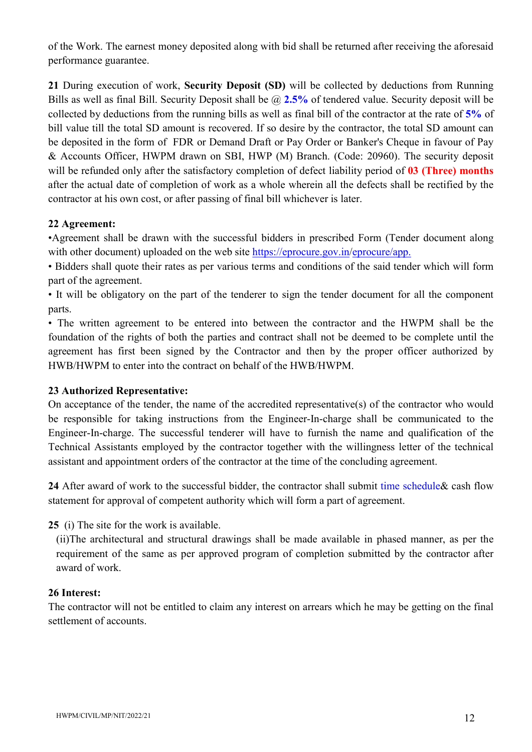of the Work. The earnest money deposited along with bid shall be returned after receiving the aforesaid performance guarantee.

21 During execution of work, Security Deposit (SD) will be collected by deductions from Running Bills as well as final Bill. Security Deposit shall be  $\omega$  2.5% of tendered value. Security deposit will be collected by deductions from the running bills as well as final bill of the contractor at the rate of 5% of bill value till the total SD amount is recovered. If so desire by the contractor, the total SD amount can be deposited in the form of FDR or Demand Draft or Pay Order or Banker's Cheque in favour of Pay & Accounts Officer, HWPM drawn on SBI, HWP (M) Branch. (Code: 20960). The security deposit will be refunded only after the satisfactory completion of defect liability period of 03 (Three) months after the actual date of completion of work as a whole wherein all the defects shall be rectified by the contractor at his own cost, or after passing of final bill whichever is later.

## 22 Agreement:

•Agreement shall be drawn with the successful bidders in prescribed Form (Tender document along with other document) uploaded on the web site https://eprocure.gov.in/eprocure/app.

• Bidders shall quote their rates as per various terms and conditions of the said tender which will form part of the agreement.

• It will be obligatory on the part of the tenderer to sign the tender document for all the component parts.

• The written agreement to be entered into between the contractor and the HWPM shall be the foundation of the rights of both the parties and contract shall not be deemed to be complete until the agreement has first been signed by the Contractor and then by the proper officer authorized by HWB/HWPM to enter into the contract on behalf of the HWB/HWPM.

## 23 Authorized Representative:

On acceptance of the tender, the name of the accredited representative(s) of the contractor who would be responsible for taking instructions from the Engineer-In-charge shall be communicated to the Engineer-In-charge. The successful tenderer will have to furnish the name and qualification of the Technical Assistants employed by the contractor together with the willingness letter of the technical assistant and appointment orders of the contractor at the time of the concluding agreement.

24 After award of work to the successful bidder, the contractor shall submit time schedule & cash flow statement for approval of competent authority which will form a part of agreement.

## 25 (i) The site for the work is available.

(ii)The architectural and structural drawings shall be made available in phased manner, as per the requirement of the same as per approved program of completion submitted by the contractor after award of work.

#### 26 Interest:

The contractor will not be entitled to claim any interest on arrears which he may be getting on the final settlement of accounts.